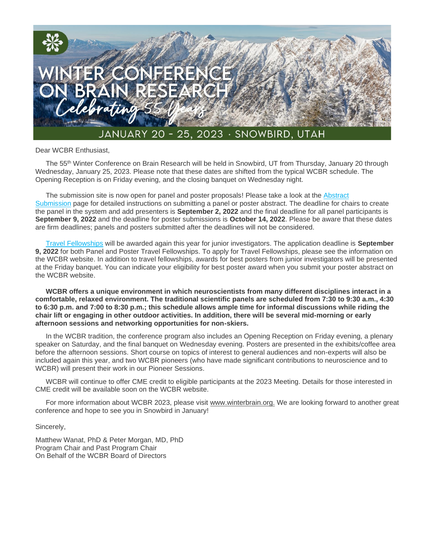

Dear WCBR Enthusiast,

The 55<sup>th</sup> Winter Conference on Brain Research will be held in Snowbird, UT from Thursday, January 20 through Wednesday, January 25, 2023. Please note that these dates are shifted from the typical WCBR schedule. The Opening Reception is on Friday evening, and the closing banquet on Wednesday night.

The submission site is now open for panel and poster proposals! Please take a look at the Abstract Submission [page for detailed instructions on submitting a panel or poster abstract. The deadline for cha](https://wcbr.societyconference.com/v2/#card/submission)irs to create the panel in the system and add presenters is **September 2, 2022** and the final deadline for all panel participants is **September 9, 2022** and the deadline for poster submissions is **October 14, 2022**. Please be aware that these dates are firm deadlines; panels and posters submitted after the deadlines will not be considered.

Travel [Fellowships](https://winterbrain.org/travel-fellowships/fellowships/) will be awarded again this year for junior investigators. The application deadline is **September 9, 2022** for both Panel and Poster Travel Fellowships. To apply for Travel Fellowships, please see the information on the WCBR website. In addition to travel fellowships, awards for best posters from junior investigators will be presented at the Friday banquet. You can indicate your eligibility for best poster award when you submit your poster abstract on the WCBR website.

**WCBR offers a unique environment in which neuroscientists from many different disciplines interact in a comfortable, relaxed environment. The traditional scientific panels are scheduled from 7:30 to 9:30 a.m., 4:30 to 6:30 p.m. and 7:00 to 8:30 p.m.; this schedule allows ample time for informal discussions while riding the chair lift or engaging in other outdoor activities. In addition, there will be several mid-morning or early afternoon sessions and networking opportunities for non-skiers.** 

In the WCBR tradition, the conference program also includes an Opening Reception on Friday evening, a plenary speaker on Saturday, and the final banquet on Wednesday evening. Posters are presented in the exhibits/coffee area before the afternoon sessions. Short course on topics of interest to general audiences and non-experts will also be included again this year, and two WCBR pioneers (who have made significant contributions to neuroscience and to WCBR) will present their work in our Pioneer Sessions.

WCBR will continue to offer CME credit to eligible participants at the 2023 Meeting. Details for those interested in CME credit will be available soon on the WCBR website.

For more information about WCBR 2023, please visit www.winterbrain.org. We are looking forward to another great conference and hope to see you in Snowbird in January!

Sincerely,

Matthew Wanat, PhD & Peter Morgan, MD, PhD Program Chair and Past Program Chair On Behalf of the WCBR Board of Directors